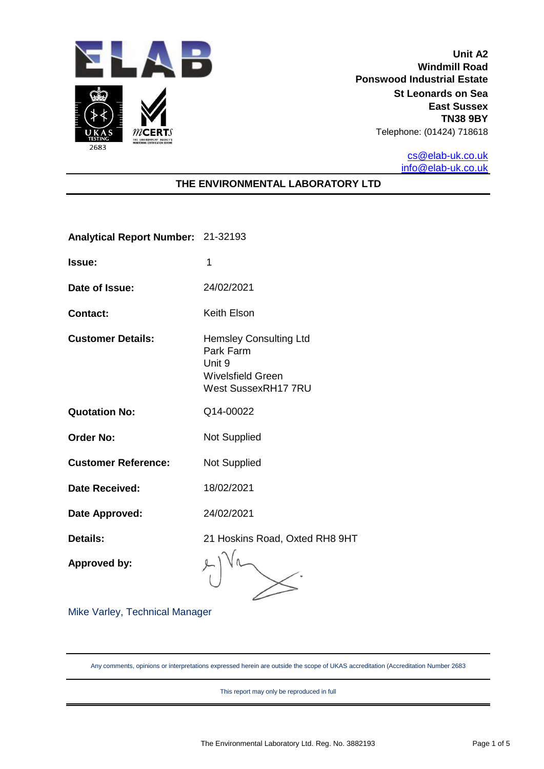

**Unit A2 Windmill Road Ponswood Industrial Estate St Leonards on Sea East Sussex TN38 9BY** Telephone: (01424) 718618

> [cs@elab-uk.co.uk](mailto:cs@elab-uk.co.uk) [info@elab-uk.co.uk](mailto:info@elab-uk.co.uk)

## **THE ENVIRONMENTAL LABORATORY LTD**

**Analytical Report Number:** 21-32193

- **Issue:** 1
- **Date of Issue:** 24/02/2021
- **Contact:** Keith Elson
- **Customer Details:** Hemsley Consulting Ltd
	- Park Farm Unit 9 Wivelsfield Green West SussexRH17 7RU
- **Quotation No:** Q14-00022
- **Order No:** Not Supplied
- **Customer Reference:** Not Supplied
- **Date Received:** 18/02/2021
- **Date Approved:** 24/02/2021

**Details:** 21 Hoskins Road, Oxted RH8 9HT

**Approved by:**

Mike Varley, Technical Manager

Any comments, opinions or interpretations expressed herein are outside the scope of UKAS accreditation (Accreditation Number 2683

This report may only be reproduced in full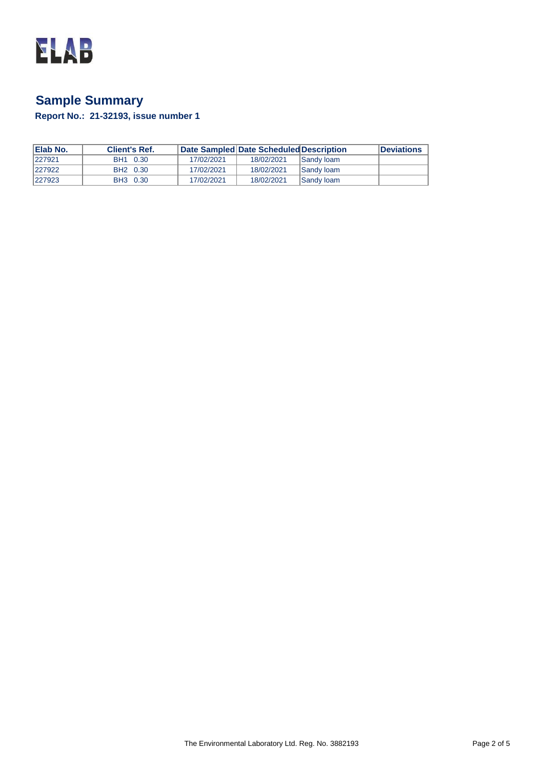

# **Sample Summary**

**Report No.: 21-32193, issue number 1**

| <b>IElab No.</b> | <b>Client's Ref.</b> |            | Date Sampled Date Scheduled Description |                   | <b>Deviations</b> |
|------------------|----------------------|------------|-----------------------------------------|-------------------|-------------------|
| 1227921          | BH1 0.30             | 17/02/2021 | 18/02/2021                              | <b>Sandy loam</b> |                   |
| 1227922          | BH2 0.30             | 17/02/2021 | 18/02/2021                              | <b>Sandy loam</b> |                   |
| 1227923          | BH3 0.30             | 17/02/2021 | 18/02/2021                              | <b>Sandy loam</b> |                   |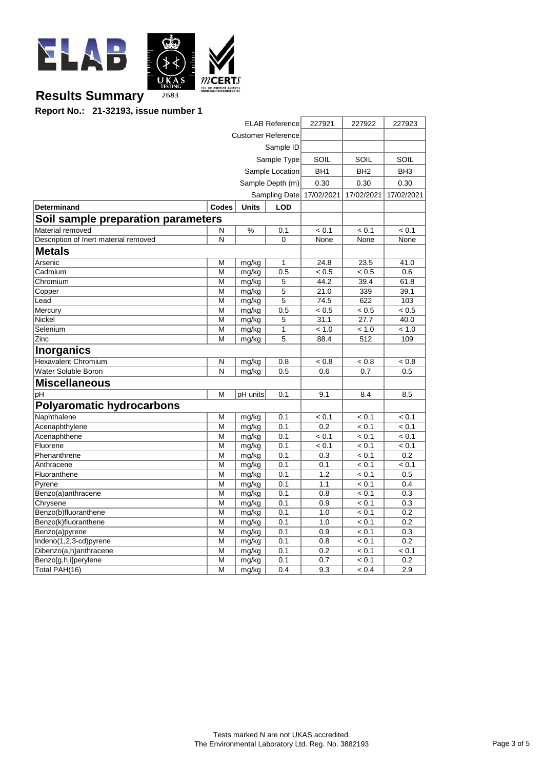

# **Results Summary**

**Report No.: 21-32193, issue number 1**

| <b>ELAB Reference</b>                 |              |              |                  | 227921          | 227922          | 227923          |
|---------------------------------------|--------------|--------------|------------------|-----------------|-----------------|-----------------|
| <b>Customer Reference</b>             |              |              |                  |                 |                 |                 |
| Sample ID                             |              |              |                  |                 |                 |                 |
|                                       |              |              | Sample Type      | SOIL            | SOIL            | SOIL            |
|                                       |              |              | Sample Location  | BH <sub>1</sub> | BH <sub>2</sub> | BH <sub>3</sub> |
|                                       |              |              | Sample Depth (m) | 0.30            | 0.30            | 0.30            |
|                                       |              |              | Sampling Date    | 17/02/2021      | 17/02/2021      | 17/02/2021      |
| <b>Determinand</b>                    | <b>Codes</b> | <b>Units</b> | <b>LOD</b>       |                 |                 |                 |
| Soil sample preparation parameters    |              |              |                  |                 |                 |                 |
| Material removed                      | N            | %            | 0.1              | < 0.1           | < 0.1           | < 0.1           |
| Description of Inert material removed | N            |              | $\Omega$         | None            | None            | None            |
| <b>Metals</b>                         |              |              |                  |                 |                 |                 |
| Arsenic                               | М            | mg/kg        | 1                | 24.8            | 23.5            | 41.0            |
| Cadmium                               | M            | mg/kg        | 0.5              | < 0.5           | < 0.5           | 0.6             |
| Chromium                              | M            | mg/kg        | 5                | 44.2            | 39.4            | 61.8            |
| Copper                                | M            | mg/kg        | 5                | 21.0            | 339             | 39.1            |
| Lead                                  | М            | mg/kg        | 5                | 74.5            | 622             | 103             |
| Mercury                               | М            | mg/kg        | 0.5              | < 0.5           | < 0.5           | $\sqrt{0.5}$    |
| Nickel                                | M            | mg/kg        | 5                | 31.1            | 27.7            | 40.0            |
| Selenium                              | M            | mg/kg        | 1                | < 1.0           | < 1.0           | < 1.0           |
| Zinc                                  | М            | mg/kg        | 5                | 88.4            | 512             | 109             |
| <b>Inorganics</b>                     |              |              |                  |                 |                 |                 |
| <b>Hexavalent Chromium</b>            | N            | mg/kg        | 0.8              | < 0.8           | < 0.8           | < 0.8           |
| Water Soluble Boron                   | N            | mg/kg        | 0.5              | 0.6             | 0.7             | 0.5             |
| <b>Miscellaneous</b>                  |              |              |                  |                 |                 |                 |
| pH                                    | M            | pH units     | 0.1              | 9.1             | 8.4             | 8.5             |
| <b>Polyaromatic hydrocarbons</b>      |              |              |                  |                 |                 |                 |
| Naphthalene                           | M            | mg/kg        | 0.1              | < 0.1           | < 0.1           | < 0.1           |
| Acenaphthylene                        | M            | mg/kg        | 0.1              | 0.2             | < 0.1           | < 0.1           |
| Acenaphthene                          | M            | mg/kg        | 0.1              | < 0.1           | < 0.1           | < 0.1           |
| Fluorene                              | M            | mg/kg        | 0.1              | < 0.1           | < 0.1           | < 0.1           |
| Phenanthrene                          | М            | mg/kg        | 0.1              | 0.3             | < 0.1           | 0.2             |
| Anthracene                            | M            | mg/kg        | 0.1              | 0.1             | < 0.1           | < 0.1           |
| Fluoranthene                          | M            | mg/kg        | 0.1              | 1.2             | < 0.1           | 0.5             |
| Pyrene                                | M            | mg/kg        | 0.1              | 1.1             | < 0.1           | 0.4             |
| Benzo(a)anthracene                    | М            | mg/kg        | 0.1              | 0.8             | < 0.1           | 0.3             |
| Chrysene                              | M            | mg/kg        | 0.1              | 0.9             | < 0.1           | 0.3             |
| Benzo(b)fluoranthene                  | М            | mg/kg        | 0.1              | 1.0             | < 0.1           | 0.2             |
| Benzo(k)fluoranthene                  | M            | mg/kg        | 0.1              | 1.0             | < 0.1           | 0.2             |
| Benzo(a)pyrene                        | M            | mg/kg        | 0.1              | 0.9             | < 0.1           | 0.3             |
| Indeno(1,2,3-cd)pyrene                | M            | mg/kg        | 0.1              | 0.8             | < 0.1           | 0.2             |
| Dibenzo(a,h)anthracene                | М            | mg/kg        | 0.1              | 0.2             | < 0.1           | < 0.1           |
| Benzo[g,h,i]perylene                  | М            | mg/kg        | 0.1              | 0.7             | < 0.1           | 0.2             |
| Total PAH(16)                         | M            | mg/kg        | 0.4              | 9.3             | < 0.4           | 2.9             |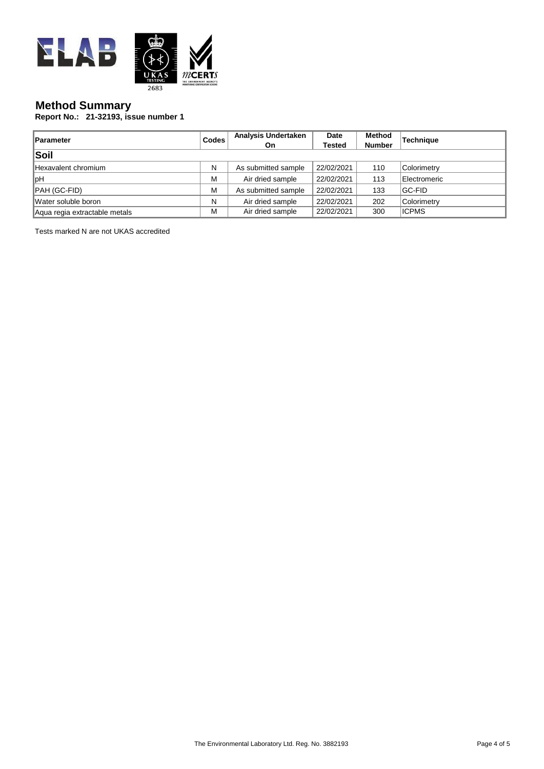

## **Method Summary**

**Report No.: 21-32193, issue number 1**

| <b>Parameter</b>              | <b>Codes</b> | <b>Analysis Undertaken</b><br>On. | Date<br><b>Tested</b> | <b>Method</b><br><b>Number</b> | <b>Technique</b> |
|-------------------------------|--------------|-----------------------------------|-----------------------|--------------------------------|------------------|
| Soil                          |              |                                   |                       |                                |                  |
| Hexavalent chromium           | N            | As submitted sample               | 22/02/2021            | 110                            | Colorimetry      |
| ∥pH                           | M            | Air dried sample                  | 22/02/2021            | 113                            | Electromeric     |
| PAH (GC-FID)                  | M            | As submitted sample               | 22/02/2021            | 133                            | <b>GC-FID</b>    |
| Water soluble boron           | N            | Air dried sample                  | 22/02/2021            | 202                            | Colorimetry      |
| Aqua regia extractable metals | M            | Air dried sample                  | 22/02/2021            | 300                            | <b>ICPMS</b>     |

Tests marked N are not UKAS accredited